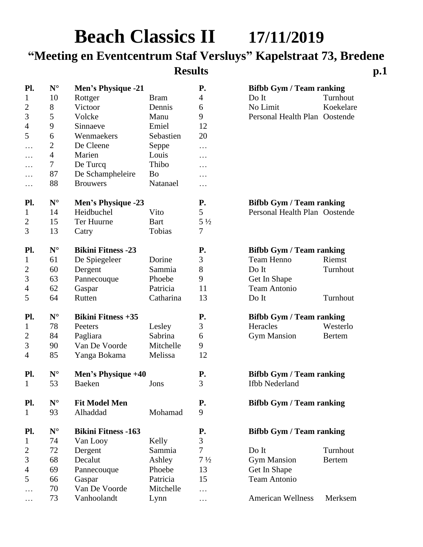# **Beach Classics II 17/11/2019**

## **"Meeting en Eventcentrum Staf Versluys" Kapelstraat 73, Bredene**

## **Results p.1**

| Pl.            | ${\bf N}^{\circ}$    | <b>Men's Physique -21</b>  |             | P.             | <b>Bifbb Gym / Team ranking</b> |               |
|----------------|----------------------|----------------------------|-------------|----------------|---------------------------------|---------------|
| 1              | 10                   | Rottger                    | <b>Bram</b> | 4              | Do It                           | Turnhout      |
| $\overline{2}$ | 8                    | Victoor                    | Dennis      | 6              | No Limit                        | Koekelare     |
| 3              | 5                    | Volcke                     | Manu        | 9              | Personal Health Plan Oostende   |               |
| $\overline{4}$ | 9                    | Sinnaeve                   | Emiel       | 12             |                                 |               |
| 5              | 6                    | Wenmaekers                 | Sebastien   | 20             |                                 |               |
| .              | $\mathbf{2}$         | De Cleene                  | Seppe       | $\cdots$       |                                 |               |
| .              | $\overline{4}$       | Marien                     | Louis       | .              |                                 |               |
|                | $\tau$               | De Turcq                   | Thibo       | .              |                                 |               |
|                | 87                   | De Schampheleire           | Bo          | .              |                                 |               |
| .              | 88                   | <b>Brouwers</b>            | Natanael    | .              |                                 |               |
| Pl.            | $\mathbf{N}^{\circ}$ | <b>Men's Physique -23</b>  |             | <b>P.</b>      | <b>Bifbb Gym / Team ranking</b> |               |
| $\mathbf{1}$   | 14                   | Heidbuchel                 | Vito        | 5              | Personal Health Plan Oostende   |               |
| $\overline{2}$ | 15                   | Ter Huurne                 | <b>Bart</b> | $5\frac{1}{2}$ |                                 |               |
| 3              | 13                   | Catry                      | Tobias      | 7              |                                 |               |
| Pl.            | $\mathbf{N}^{\circ}$ | <b>Bikini Fitness -23</b>  |             | <b>P.</b>      | <b>Bifbb Gym / Team ranking</b> |               |
| $\mathbf 1$    | 61                   | De Spiegeleer              | Dorine      | 3              | Team Henno                      | Riemst        |
| $\overline{2}$ | 60                   | Dergent                    | Sammia      | 8              | Do It                           | Turnhout      |
| 3              | 63                   | Pannecouque                | Phoebe      | 9              | Get In Shape                    |               |
| $\overline{4}$ | 62                   | Gaspar                     | Patricia    | 11             | <b>Team Antonio</b>             |               |
| 5              | 64                   | Rutten                     | Catharina   | 13             | Do It                           | Turnhout      |
| Pl.            | $\mathbf{N}^\circ$   | <b>Bikini Fitness +35</b>  |             | <b>P.</b>      | <b>Bifbb Gym / Team ranking</b> |               |
| 1              | 78                   | Peeters                    | Lesley      | 3              | Heracles                        | Westerlo      |
| $\overline{c}$ | 84                   | Pagliara                   | Sabrina     | 6              | <b>Gym Mansion</b>              | <b>Bertem</b> |
| 3              | 90                   | Van De Voorde              | Mitchelle   | 9              |                                 |               |
| $\overline{4}$ | 85                   | Yanga Bokama               | Melissa     | 12             |                                 |               |
| Pl.            | $N^{\circ}$          | Men's Physique +40         |             | <b>P.</b>      | <b>Bifbb Gym / Team ranking</b> |               |
| $\mathbf{1}$   | 53                   | <b>Baeken</b>              | Jons        | 3              | <b>Ifbb Nederland</b>           |               |
| Pl.            | $N^{\circ}$          | <b>Fit Model Men</b>       |             | <b>P.</b>      | <b>Bifbb Gym / Team ranking</b> |               |
| $\mathbf 1$    | 93                   | Alhaddad                   | Mohamad     | 9              |                                 |               |
| Pl.            | $\mathbf{N}^{\circ}$ | <b>Bikini Fitness -163</b> |             | <b>P.</b>      | <b>Bifbb Gym / Team ranking</b> |               |
| 1              | 74                   | Van Looy                   | Kelly       | 3              |                                 |               |
| $\overline{2}$ | 72                   | Dergent                    | Sammia      | $\overline{7}$ | Do It                           | Turnhout      |
| 3              | 68                   | Decalut                    | Ashley      | $7\frac{1}{2}$ | <b>Gym Mansion</b>              | <b>Bertem</b> |
| 4              | 69                   | Pannecouque                | Phoebe      | 13             | Get In Shape                    |               |
| 5              | 66                   | Gaspar                     | Patricia    | 15             | <b>Team Antonio</b>             |               |
| .              | 70                   | Van De Voorde              | Mitchelle   | .              |                                 |               |
| $\cdots$       | 73                   | Vanhoolandt                | Lynn        | .              | <b>American Wellness</b>        | Merksem       |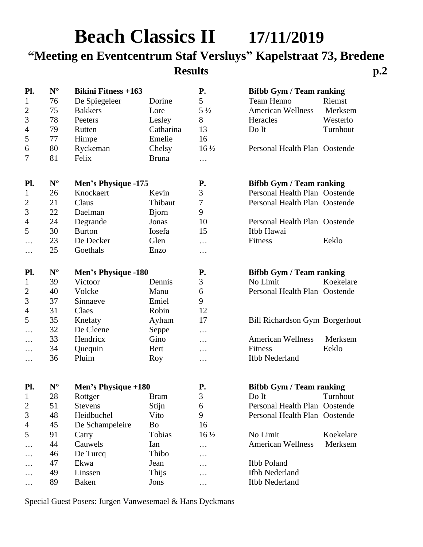# **Beach Classics II 17/11/2019 "Meeting en Eventcentrum Staf Versluys" Kapelstraat 73, Bredene Results p.2**

| Pl.            | ${\bf N}^{\circ}$    | <b>Bikini Fitness +163</b> |               | <b>P.</b>       | <b>Bifbb Gym / Team ranking</b> |           |
|----------------|----------------------|----------------------------|---------------|-----------------|---------------------------------|-----------|
| $\mathbf 1$    | 76                   | De Spiegeleer              | Dorine        | 5               | Team Henno                      | Riemst    |
| $\overline{c}$ | 75                   | <b>Bakkers</b>             | Lore          | $5\frac{1}{2}$  | <b>American Wellness</b>        | Merksem   |
| $\mathfrak{Z}$ | 78                   | Peeters                    | Lesley        | 8               | Heracles                        | Westerlo  |
| $\overline{4}$ | 79                   | Rutten                     | Catharina     | 13              | Do It                           | Turnhout  |
| $\mathfrak s$  | 77                   | Himpe                      | Emelie        | 16              |                                 |           |
| 6              | 80                   | Ryckeman                   | Chelsy        | $16\frac{1}{2}$ | Personal Health Plan Oostende   |           |
| 7              | 81                   | Felix                      | <b>Bruna</b>  | $\cdots$        |                                 |           |
| Pl.            | ${\bf N}^{\circ}$    | Men's Physique -175        |               | <b>P.</b>       | <b>Bifbb Gym / Team ranking</b> |           |
| $\mathbf{1}$   | 26                   | Knockaert                  | Kevin         | 3               | Personal Health Plan Oostende   |           |
| $\overline{c}$ | 21                   | Claus                      | Thibaut       | $\tau$          | Personal Health Plan Oostende   |           |
| $\mathfrak{Z}$ | 22                   | Daelman                    | <b>B</b> jorn | 9               |                                 |           |
| $\overline{4}$ | 24                   | Degrande                   | Jonas         | 10              | Personal Health Plan Oostende   |           |
| 5              | 30                   | <b>Burton</b>              | Iosefa        | 15              | Ifbb Hawai                      |           |
| .              | 23                   | De Decker                  | Glen          | .               | Fitness                         | Eeklo     |
| $\cdots$       | 25                   | Goethals                   | Enzo          | $\cdots$        |                                 |           |
| Pl.            | ${\bf N}^{\circ}$    | <b>Men's Physique -180</b> |               | <b>P.</b>       | <b>Bifbb Gym / Team ranking</b> |           |
| $\mathbf{1}$   | 39                   | Victoor                    | Dennis        | 3               | No Limit                        | Koekelare |
| $\overline{2}$ | 40                   | Volcke                     | Manu          | 6               | Personal Health Plan Oostende   |           |
| 3              | 37                   | Sinnaeve                   | Emiel         | 9               |                                 |           |
| $\overline{4}$ | 31                   | Claes                      | Robin         | 12              |                                 |           |
| 5              | 35                   | Knefaty                    | Ayham         | 17              | Bill Richardson Gym Borgerhout  |           |
| .              | 32                   | De Cleene                  | Seppe         | .               |                                 |           |
| .              | 33                   | Hendricx                   | Gino          | .               | <b>American Wellness</b>        | Merksem   |
| .              | 34                   | Quequin                    | <b>Bert</b>   | $\cdots$        | Fitness                         | Eeklo     |
| .              | 36                   | Pluim                      | Roy           | .               | Ifbb Nederland                  |           |
| Pl.            | $\mathbf{N}^{\circ}$ | Men's Physique +180        |               | <b>P.</b>       | <b>Bifbb Gym / Team ranking</b> |           |
| $\mathbf{1}$   | 28                   | Rottger Bram               |               | 3               | $Do$ It                         | Turnhout  |
| $\overline{c}$ | 51                   | <b>Stevens</b>             | Stijn         | 6               | Personal Health Plan Oostende   |           |
| 3              | 48                   | Heidbuchel                 | Vito          | 9               | Personal Health Plan Oostende   |           |
| $\overline{4}$ | 45                   | De Schampeleire            | Bo            | 16              |                                 |           |
| 5              | 91                   | Catry                      | Tobias        | $16\frac{1}{2}$ | No Limit                        | Koekelare |
|                | 44                   | Cauwels                    | Ian           | $\cdots$        | <b>American Wellness</b>        | Merksem   |
| .              | 46                   | De Turcq                   | Thibo         | .               |                                 |           |
| .              | 47                   | Ekwa                       | Jean          | .               | Ifbb Poland                     |           |
|                | 49                   | Linssen                    | Thijs         | .               | Ifbb Nederland                  |           |
| $\cdots$       | 89                   | <b>Baken</b>               | Jons          | .               | Ifbb Nederland                  |           |

Special Guest Posers: Jurgen Vanwesemael & Hans Dyckmans